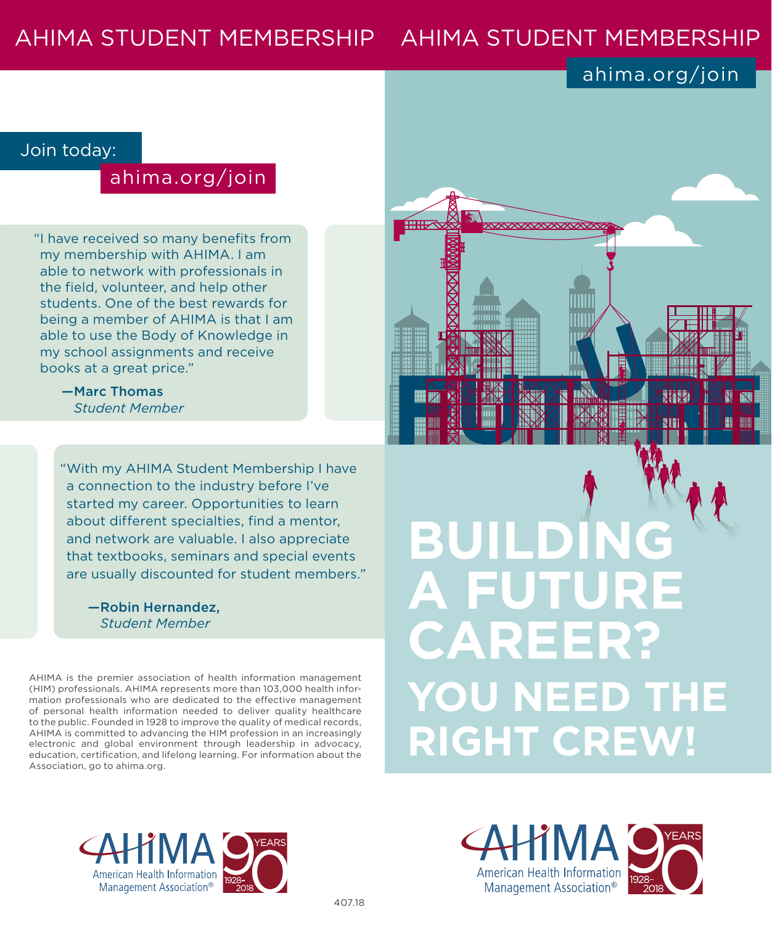# AHIMA STUDENT MEMBERSHIP AHIMA STUDENT MEMBERSHIP

## ahima.org/join

#### Join today:

### ahima.org/join

"I have received so many benefits from my membership with AHIMA. I am able to network with professionals in the field, volunteer, and help other students. One of the best rewards for being a member of AHIMA is that I am able to use the Body of Knowledge in my school assignments and receive books at a great price."

> —Marc Thomas *Student Member*

"With my AHIMA Student Membership I have a connection to the industry before I've started my career. Opportunities to learn about different specialties, find a mentor, and network are valuable. I also appreciate that textbooks, seminars and special events are usually discounted for student members."

#### —Robin Hernandez, *Student Member*

AHIMA is the premier association of health information management (HIM) professionals. AHIMA represents more than 103,000 health information professionals who are dedicated to the effective management of personal health information needed to deliver quality healthcare to the public. Founded in 1928 to improve the quality of medical records, AHIMA is committed to advancing the HIM profession in an increasingly electronic and global environment through leadership in advocacy, education, certification, and lifelong learning. For information about the Association, go to ahima.org.



# **BUILDING A FU CAREER? YOU NEED THE RIGHT CREW!**